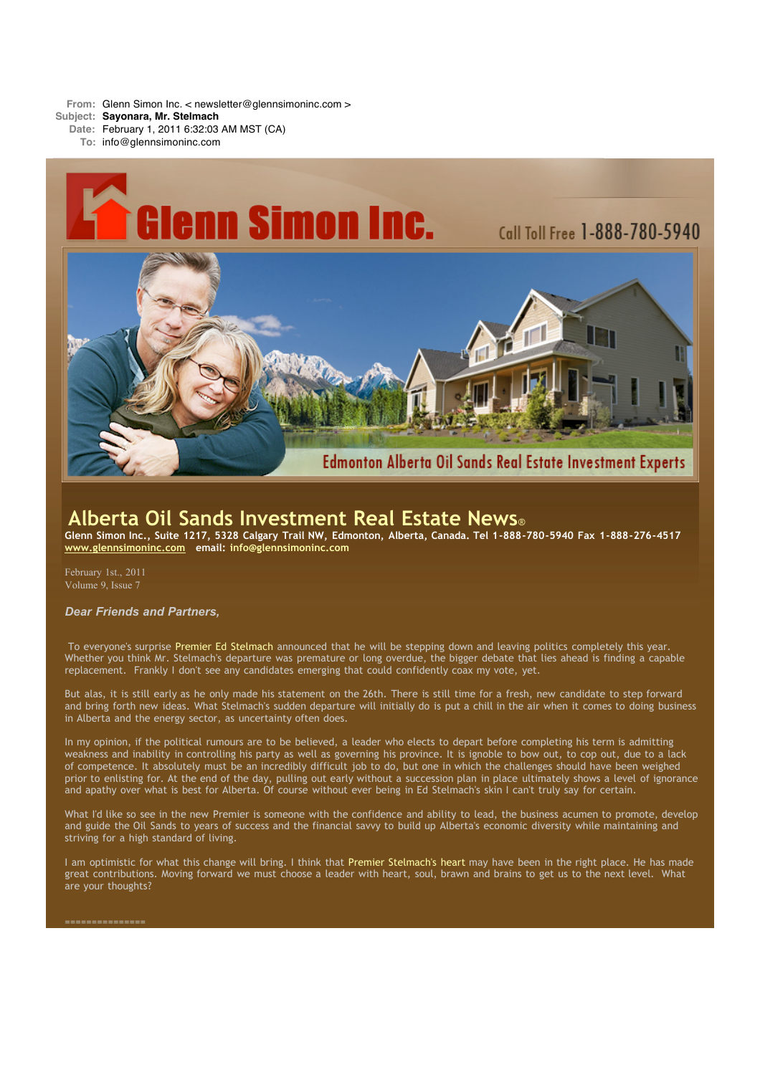**From:** Glenn Simon Inc. < newsletter@glennsimoninc.com >

**Subject: Sayonara, Mr. Stelmach**

**Date:** February 1, 2011 6:32:03 AM MST (CA)

**To:** info@glennsimoninc.com



# **Alberta Oil Sands Investment Real Estate News**®

Glenn Simon Inc., Suite 1217, 5328 Calgary Trail NW, Edmonton, Alberta, Canada. Tel 1-888-780-5940 Fax 1-888-276-4517 **[www.glennsimoninc.com](http://www.glennsimoninc.com/) email: [info@glennsimoninc.com](mailto:info@glennsimoninc.com)**

February 1st., 2011 Volume 9, Issue 7

### *Dear Friends and Partners,*

To everyone's surprise Premier Ed [Stelmach](http://www.edmontonjournal.com/business/Stelmach+leaves+mixed+business+legacy+industry+says/4165385/story.html) announced that he will be stepping down and leaving politics completely this year. Whether you think Mr. Stelmach's departure was premature or long overdue, the bigger debate that lies ahead is finding a capable replacement. Frankly I don't see any candidates emerging that could confidently coax my vote, yet.

But alas, it is still early as he only made his statement on the 26th. There is still time for a fresh, new candidate to step forward and bring forth new ideas. What Stelmach's sudden departure will initially do is put a chill in the air when it comes to doing business in Alberta and the energy sector, as uncertainty often does.

In my opinion, if the political rumours are to be believed, a leader who elects to depart before completing his term is admitting weakness and inability in controlling his party as well as governing his province. It is ignoble to bow out, to cop out, due to a lack of competence. It absolutely must be an incredibly difficult job to do, but one in which the challenges should have been weighed prior to enlisting for. At the end of the day, pulling out early without a succession plan in place ultimately shows a level of ignorance and apathy over what is best for Alberta. Of course without ever being in Ed Stelmach's skin I can't truly say for certain.

What I'd like so see in the new Premier is someone with the confidence and ability to lead, the business acumen to promote, develop and guide the Oil Sands to years of success and the financial savvy to build up Alberta's economic diversity while maintaining and striving for a high standard of living.

I am optimistic for what this change will bring. I think that Premier [Stelmach's](http://www.calgaryherald.com/business/Premier+Stelmach+plagued+oilsands+fallout/4172019/story.html) heart may have been in the right place. He has made great contributions. Moving forward we must choose a leader with heart, soul, brawn and brains to get us to the next level. What are your thoughts?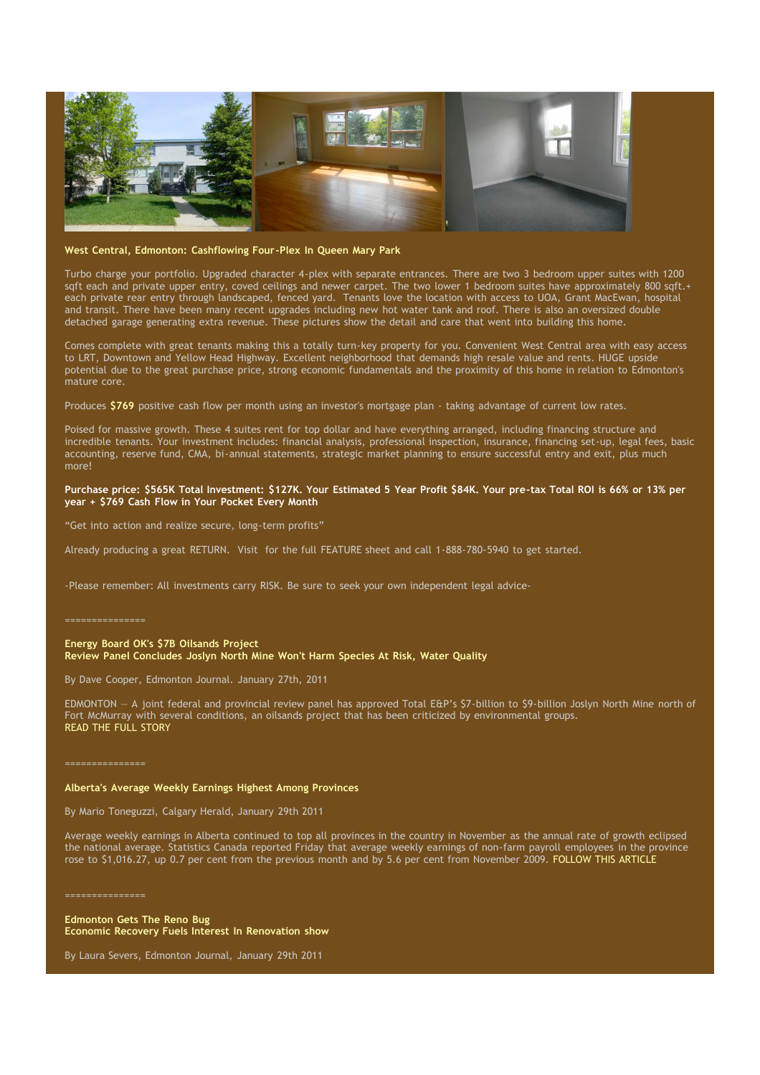

#### **West Central, Edmonton: [Cashflowing](http://www.glennsimoninc.com/featured_detail.php?id=78) Four-Plex In Queen Mary Park**

Turbo charge your portfolio. Upgraded character 4-plex with separate entrances. There are two 3 bedroom upper suites with 1200 sqft each and private upper entry, coved ceilings and newer carpet. The two lower 1 bedroom suites have approximately 800 sqft.+ each private rear entry through landscaped, fenced yard. Tenants love the location with access to UOA, Grant MacEwan, hospital and transit. There have been many recent upgrades including new hot water tank and roof. There is also an oversized double detached garage generating extra revenue. These pictures show the detail and care that went into building this home.

Comes complete with great tenants making this a totally turn-key property for you. Convenient West Central area with easy access to LRT, Downtown and Yellow Head Highway. Excellent neighborhood that demands high resale value and rents. HUGE upside potential due to the great purchase price, strong economic fundamentals and the proximity of this home in relation to Edmonton's mature core.

Produces [\\$769](http://www.glennsimoninc.com/featured_detail.php?id=78) positive cash flow per month using an investor's mortgage plan - taking advantage of current low rates.

Poised for massive growth. These 4 suites rent for top dollar and have everything arranged, including financing structure and incredible tenants. Your investment includes: financial analysis, professional inspection, insurance, financing set-up, legal fees, basic accounting, reserve fund, CMA, bi-annual statements, strategic market planning to ensure successful entry and exit, plus much more!

#### Purchase price: \$565K Total [Investment:](http://www.glennsimoninc.com/featured_detail.php?id=78) \$127K. Your Estimated 5 Year Profit \$84K. Your pre-tax Total ROI is 66% or 13% per **year + \$769 Cash Flow in Your Pocket Every Month**

"Get into action and realize secure, long-term profits"

Already producing a great RETURN. Visit for the full FEATURE sheet and call 1-888-780-5940 to get started.

-Please remember: All investments carry RISK. Be sure to seek your own independent legal advice-

===============

**Energy Board OK's \$7B Oilsands Project Review Panel Concludes Joslyn North Mine Won't Harm Species At Risk, Water Quality**

By Dave Cooper, Edmonton Journal. January 27th, 2011

EDMONTON — A joint federal and provincial review panel has approved Total E&P's \$7-billion to \$9-billion Joslyn North Mine north of Fort McMurray with several conditions, an oilsands project that has been criticized by environmental groups. READ THE FULL [STORY](http://www.edmontonjournal.com/business/Energy+board+oilsands+project/4180931/story.html#ixzz1CSGl24d1)

## **Alberta's Average Weekly Earnings Highest Among Provinces**

By Mario Toneguzzi, Calgary Herald, January 29th 2011

Average weekly earnings in Alberta continued to top all provinces in the country in November as the annual rate of growth eclipsed the national average. Statistics Canada reported Friday that average weekly earnings of non-farm payroll employees in the province rose to \$1,016.27, up 0.7 per cent from the previous month and by 5.6 per cent from November 2009. [FOLLOW](http://www.calgaryherald.com/business/Alberta+average+weekly+earnings+highest+among+provinces/4189486/story.html#ixzz1CSI6kI6D) THIS ARTICLE

===============

**Edmonton Gets The Reno Bug Economic Recovery Fuels Interest In Renovation show**

By Laura Severs, Edmonton Journal, January 29th 2011